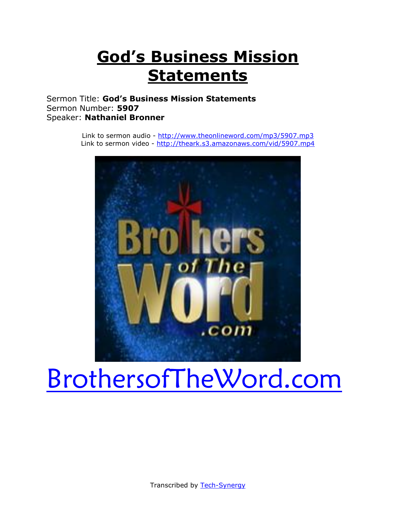# **God's Business Mission Statements**

Sermon Title: **God's Business Mission Statements** Sermon Number: **5907** Speaker: **Nathaniel Bronner**

> Link to sermon audio - [http://www.theonlineword.com/mp3/5907.mp3](http://www.theonlineword.com/mp3/7652.mp3) Link to sermon video - [http://theark.s3.amazonaws.com/vid/5907.mp4](http://theark.s3.amazonaws.com/vid/7652.mp4)



# [BrothersofTheWord.com](http://www.brothersoftheword.com/)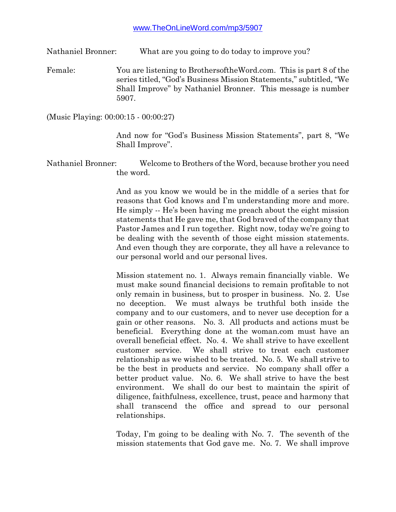Nathaniel Bronner: What are you going to do today to improve you?

Female: You are listening to BrothersoftheWord.com. This is part 8 of the series titled, "God's Business Mission Statements," subtitled, "We Shall Improve" by Nathaniel Bronner. This message is number 5907.

(Music Playing: 00:00:15 - 00:00:27)

And now for "God's Business Mission Statements", part 8, "We Shall Improve".

Nathaniel Bronner: Welcome to Brothers of the Word, because brother you need the word.

> And as you know we would be in the middle of a series that for reasons that God knows and I'm understanding more and more. He simply -- He's been having me preach about the eight mission statements that He gave me, that God braved of the company that Pastor James and I run together. Right now, today we're going to be dealing with the seventh of those eight mission statements. And even though they are corporate, they all have a relevance to our personal world and our personal lives.

> Mission statement no. 1. Always remain financially viable. We must make sound financial decisions to remain profitable to not only remain in business, but to prosper in business. No. 2. Use no deception. We must always be truthful both inside the company and to our customers, and to never use deception for a gain or other reasons. No. 3. All products and actions must be beneficial. Everything done at the woman.com must have an overall beneficial effect. No. 4. We shall strive to have excellent customer service. We shall strive to treat each customer relationship as we wished to be treated. No. 5. We shall strive to be the best in products and service. No company shall offer a better product value. No. 6. We shall strive to have the best environment. We shall do our best to maintain the spirit of diligence, faithfulness, excellence, trust, peace and harmony that shall transcend the office and spread to our personal relationships.

> Today, I'm going to be dealing with No. 7. The seventh of the mission statements that God gave me. No. 7. We shall improve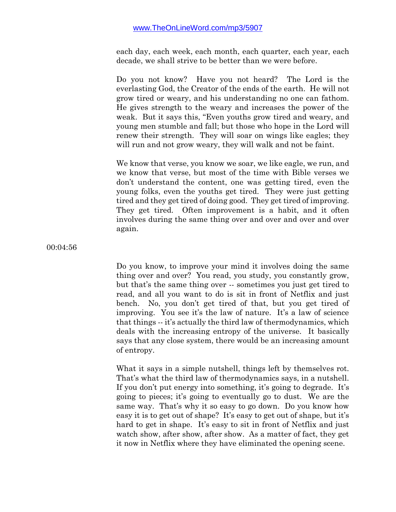each day, each week, each month, each quarter, each year, each decade, we shall strive to be better than we were before.

Do you not know? Have you not heard? The Lord is the everlasting God, the Creator of the ends of the earth. He will not grow tired or weary, and his understanding no one can fathom. He gives strength to the weary and increases the power of the weak. But it says this, "Even youths grow tired and weary, and young men stumble and fall; but those who hope in the Lord will renew their strength. They will soar on wings like eagles; they will run and not grow weary, they will walk and not be faint.

We know that verse, you know we soar, we like eagle, we run, and we know that verse, but most of the time with Bible verses we don't understand the content, one was getting tired, even the young folks, even the youths get tired. They were just getting tired and they get tired of doing good. They get tired of improving. They get tired. Often improvement is a habit, and it often involves during the same thing over and over and over and over again.

00:04:56

Do you know, to improve your mind it involves doing the same thing over and over? You read, you study, you constantly grow, but that's the same thing over -- sometimes you just get tired to read, and all you want to do is sit in front of Netflix and just bench. No, you don't get tired of that, but you get tired of improving. You see it's the law of nature. It's a law of science that things -- it's actually the third law of thermodynamics, which deals with the increasing entropy of the universe. It basically says that any close system, there would be an increasing amount of entropy.

What it says in a simple nutshell, things left by themselves rot. That's what the third law of thermodynamics says, in a nutshell. If you don't put energy into something, it's going to degrade. It's going to pieces; it's going to eventually go to dust. We are the same way. That's why it so easy to go down. Do you know how easy it is to get out of shape? It's easy to get out of shape, but it's hard to get in shape. It's easy to sit in front of Netflix and just watch show, after show, after show. As a matter of fact, they get it now in Netflix where they have eliminated the opening scene.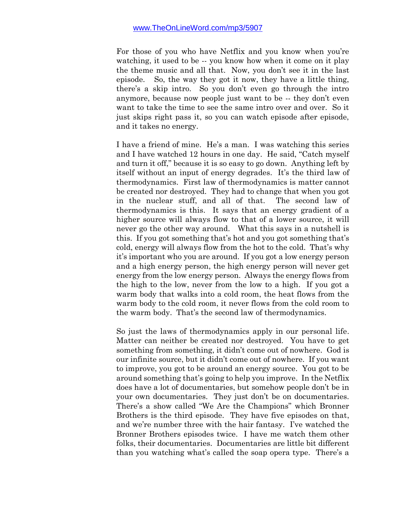For those of you who have Netflix and you know when you're watching, it used to be -- you know how when it come on it play the theme music and all that. Now, you don't see it in the last episode. So, the way they got it now, they have a little thing, there's a skip intro. So you don't even go through the intro anymore, because now people just want to be -- they don't even want to take the time to see the same intro over and over. So it just skips right pass it, so you can watch episode after episode, and it takes no energy.

I have a friend of mine. He's a man. I was watching this series and I have watched 12 hours in one day. He said, "Catch myself and turn it off," because it is so easy to go down. Anything left by itself without an input of energy degrades. It's the third law of thermodynamics. First law of thermodynamics is matter cannot be created nor destroyed. They had to change that when you got in the nuclear stuff, and all of that. The second law of thermodynamics is this. It says that an energy gradient of a higher source will always flow to that of a lower source, it will never go the other way around. What this says in a nutshell is this. If you got something that's hot and you got something that's cold, energy will always flow from the hot to the cold. That's why it's important who you are around. If you got a low energy person and a high energy person, the high energy person will never get energy from the low energy person. Always the energy flows from the high to the low, never from the low to a high. If you got a warm body that walks into a cold room, the heat flows from the warm body to the cold room, it never flows from the cold room to the warm body. That's the second law of thermodynamics.

So just the laws of thermodynamics apply in our personal life. Matter can neither be created nor destroyed. You have to get something from something, it didn't come out of nowhere. God is our infinite source, but it didn't come out of nowhere. If you want to improve, you got to be around an energy source. You got to be around something that's going to help you improve. In the Netflix does have a lot of documentaries, but somehow people don't be in your own documentaries. They just don't be on documentaries. There's a show called "We Are the Champions" which Bronner Brothers is the third episode. They have five episodes on that, and we're number three with the hair fantasy. I've watched the Bronner Brothers episodes twice. I have me watch them other folks, their documentaries. Documentaries are little bit different than you watching what's called the soap opera type. There's a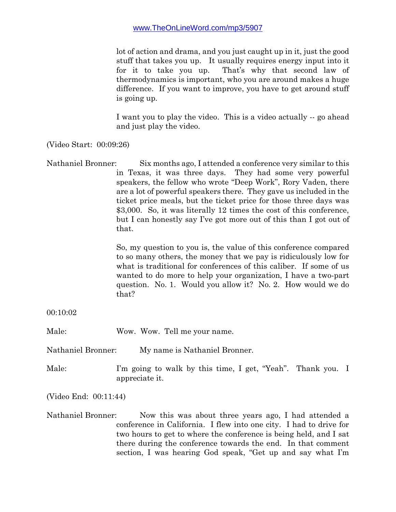lot of action and drama, and you just caught up in it, just the good stuff that takes you up. It usually requires energy input into it for it to take you up. That's why that second law of thermodynamics is important, who you are around makes a huge difference. If you want to improve, you have to get around stuff is going up.

I want you to play the video. This is a video actually -- go ahead and just play the video.

(Video Start: 00:09:26)

Nathaniel Bronner: Six months ago, I attended a conference very similar to this in Texas, it was three days. They had some very powerful speakers, the fellow who wrote "Deep Work", Rory Vaden, there are a lot of powerful speakers there. They gave us included in the ticket price meals, but the ticket price for those three days was \$3,000. So, it was literally 12 times the cost of this conference, but I can honestly say I've got more out of this than I got out of that.

> So, my question to you is, the value of this conference compared to so many others, the money that we pay is ridiculously low for what is traditional for conferences of this caliber. If some of us wanted to do more to help your organization, I have a two-part question. No. 1. Would you allow it? No. 2. How would we do that?

00:10:02

Male: Wow. Wow. Tell me your name.

Nathaniel Bronner: My name is Nathaniel Bronner.

Male: I'm going to walk by this time, I get, "Yeah". Thank you. I appreciate it.

(Video End: 00:11:44)

Nathaniel Bronner: Now this was about three years ago, I had attended a conference in California. I flew into one city. I had to drive for two hours to get to where the conference is being held, and I sat there during the conference towards the end. In that comment section, I was hearing God speak, "Get up and say what I'm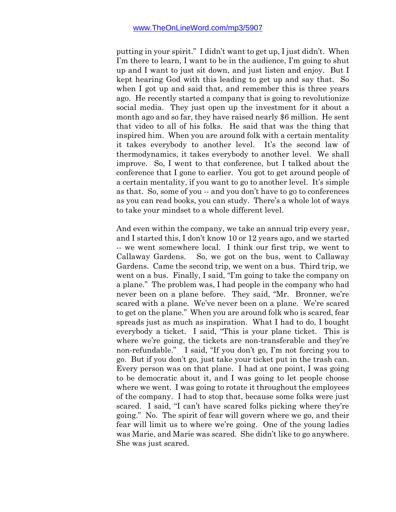putting in your spirit." I didn't want to get up, I just didn't. When I'm there to learn, I want to be in the audience, I'm going to shut up and I want to just sit down, and just listen and enjoy. But I kept hearing God with this leading to get up and say that. So when I got up and said that, and remember this is three years ago. He recently started a company that is going to revolutionize social media. They just open up the investment for it about a month ago and so far, they have raised nearly \$6 million. He sent that video to all of his folks. He said that was the thing that inspired him. When you are around folk with a certain mentality it takes everybody to another level. It's the second law of thermodynamics, it takes everybody to another level. We shall improve. So, I went to that conference, but I talked about the conference that I gone to earlier. You got to get around people of a certain mentality, if you want to go to another level. It's simple as that. So, some of you -- and you don't have to go to conferences as you can read books, you can study. There's a whole lot of ways to take your mindset to a whole different level.

And even within the company, we take an annual trip every year, and I started this, I don't know 10 or 12 years ago, and we started -- we went somewhere local. I think our first trip, we went to Callaway Gardens. So, we got on the bus, went to Callaway Gardens. Came the second trip, we went on a bus. Third trip, we went on a bus. Finally, I said, "I'm going to take the company on a plane." The problem was, I had people in the company who had never been on a plane before. They said, "Mr. Bronner, we're scared with a plane. We've never been on a plane. We're scared to get on the plane." When you are around folk who is scared, fear spreads just as much as inspiration. What I had to do, I bought everybody a ticket. I said, "This is your plane ticket. This is where we're going, the tickets are non-transferable and they're non-refundable." I said, "If you don't go, I'm not forcing you to go. But if you don't go, just take your ticket put in the trash can. Every person was on that plane. I had at one point, I was going to be democratic about it, and I was going to let people choose where we went. I was going to rotate it throughout the employees of the company. I had to stop that, because some folks were just scared. I said, "I can't have scared folks picking where they're going." No. The spirit of fear will govern where we go, and their fear will limit us to where we're going. One of the young ladies was Marie, and Marie was scared. She didn't like to go anywhere. She was just scared.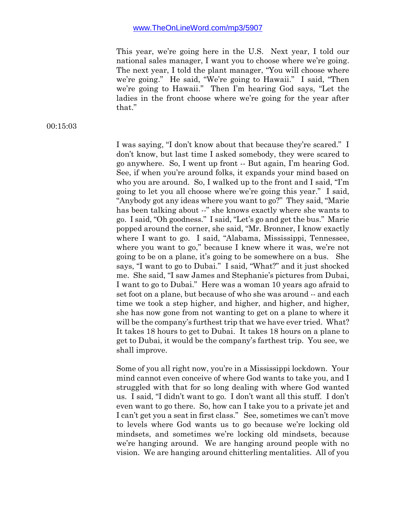This year, we're going here in the U.S. Next year, I told our national sales manager, I want you to choose where we're going. The next year, I told the plant manager, "You will choose where we're going." He said, "We're going to Hawaii." I said, "Then we're going to Hawaii." Then I'm hearing God says, "Let the ladies in the front choose where we're going for the year after that."

00:15:03

I was saying, "I don't know about that because they're scared." I don't know, but last time I asked somebody, they were scared to go anywhere. So, I went up front -- But again, I'm hearing God. See, if when you're around folks, it expands your mind based on who you are around. So, I walked up to the front and I said, "I'm going to let you all choose where we're going this year." I said, "Anybody got any ideas where you want to go?" They said, "Marie has been talking about --" she knows exactly where she wants to go. I said, "Oh goodness." I said, "Let's go and get the bus." Marie popped around the corner, she said, "Mr. Bronner, I know exactly where I want to go. I said, "Alabama, Mississippi, Tennessee, where you want to go," because I knew where it was, we're not going to be on a plane, it's going to be somewhere on a bus. She says, "I want to go to Dubai." I said, "What?" and it just shocked me. She said, "I saw James and Stephanie's pictures from Dubai, I want to go to Dubai." Here was a woman 10 years ago afraid to set foot on a plane, but because of who she was around -- and each time we took a step higher, and higher, and higher, and higher, she has now gone from not wanting to get on a plane to where it will be the company's furthest trip that we have ever tried. What? It takes 18 hours to get to Dubai. It takes 18 hours on a plane to get to Dubai, it would be the company's farthest trip. You see, we shall improve.

Some of you all right now, you're in a Mississippi lockdown. Your mind cannot even conceive of where God wants to take you, and I struggled with that for so long dealing with where God wanted us. I said, "I didn't want to go. I don't want all this stuff. I don't even want to go there. So, how can I take you to a private jet and I can't get you a seat in first class." See, sometimes we can't move to levels where God wants us to go because we're locking old mindsets, and sometimes we're locking old mindsets, because we're hanging around. We are hanging around people with no vision. We are hanging around chitterling mentalities. All of you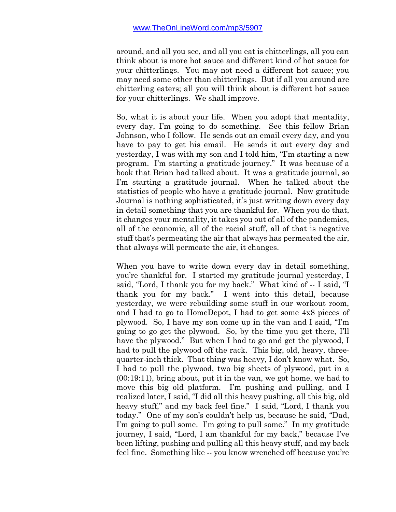around, and all you see, and all you eat is chitterlings, all you can think about is more hot sauce and different kind of hot sauce for your chitterlings. You may not need a different hot sauce; you may need some other than chitterlings. But if all you around are chitterling eaters; all you will think about is different hot sauce for your chitterlings. We shall improve.

So, what it is about your life. When you adopt that mentality, every day, I'm going to do something. See this fellow Brian Johnson, who I follow. He sends out an email every day, and you have to pay to get his email. He sends it out every day and yesterday, I was with my son and I told him, "I'm starting a new program. I'm starting a gratitude journey." It was because of a book that Brian had talked about. It was a gratitude journal, so I'm starting a gratitude journal. When he talked about the statistics of people who have a gratitude journal. Now gratitude Journal is nothing sophisticated, it's just writing down every day in detail something that you are thankful for. When you do that, it changes your mentality, it takes you out of all of the pandemics, all of the economic, all of the racial stuff, all of that is negative stuff that's permeating the air that always has permeated the air, that always will permeate the air, it changes.

When you have to write down every day in detail something, you're thankful for. I started my gratitude journal yesterday, I said, "Lord, I thank you for my back." What kind of -- I said, "I thank you for my back." I went into this detail, because yesterday, we were rebuilding some stuff in our workout room, and I had to go to HomeDepot, I had to get some 4x8 pieces of plywood. So, I have my son come up in the van and I said, "I'm going to go get the plywood. So, by the time you get there, I'll have the plywood." But when I had to go and get the plywood, I had to pull the plywood off the rack. This big, old, heavy, threequarter-inch thick. That thing was heavy, I don't know what. So, I had to pull the plywood, two big sheets of plywood, put in a (00:19:11), bring about, put it in the van, we got home, we had to move this big old platform. I'm pushing and pulling, and I realized later, I said, "I did all this heavy pushing, all this big, old heavy stuff," and my back feel fine." I said, "Lord, I thank you today." One of my son's couldn't help us, because he said, "Dad, I'm going to pull some. I'm going to pull some." In my gratitude journey, I said, "Lord, I am thankful for my back," because I've been lifting, pushing and pulling all this heavy stuff, and my back feel fine. Something like -- you know wrenched off because you're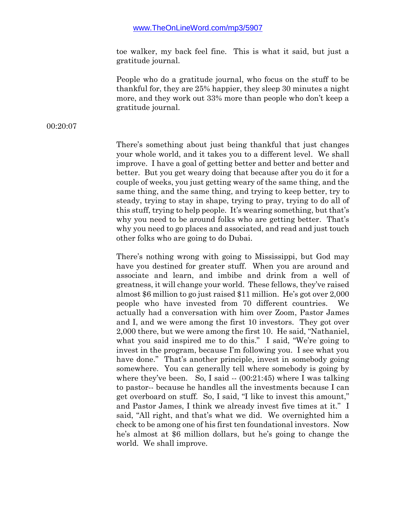toe walker, my back feel fine. This is what it said, but just a gratitude journal.

People who do a gratitude journal, who focus on the stuff to be thankful for, they are 25% happier, they sleep 30 minutes a night more, and they work out 33% more than people who don't keep a gratitude journal.

00:20:07

There's something about just being thankful that just changes your whole world, and it takes you to a different level. We shall improve. I have a goal of getting better and better and better and better. But you get weary doing that because after you do it for a couple of weeks, you just getting weary of the same thing, and the same thing, and the same thing, and trying to keep better, try to steady, trying to stay in shape, trying to pray, trying to do all of this stuff, trying to help people. It's wearing something, but that's why you need to be around folks who are getting better. That's why you need to go places and associated, and read and just touch other folks who are going to do Dubai.

There's nothing wrong with going to Mississippi, but God may have you destined for greater stuff. When you are around and associate and learn, and imbibe and drink from a well of greatness, it will change your world. These fellows, they've raised almost \$6 million to go just raised \$11 million. He's got over 2,000 people who have invested from 70 different countries. We actually had a conversation with him over Zoom, Pastor James and I, and we were among the first 10 investors. They got over 2,000 there, but we were among the first 10. He said, "Nathaniel, what you said inspired me to do this." I said, "We're going to invest in the program, because I'm following you. I see what you have done." That's another principle, invest in somebody going somewhere. You can generally tell where somebody is going by where they've been. So, I said  $-(00:21:45)$  where I was talking to pastor-- because he handles all the investments because I can get overboard on stuff. So, I said, "I like to invest this amount," and Pastor James, I think we already invest five times at it." I said, "All right, and that's what we did. We overnighted him a check to be among one of his first ten foundational investors. Now he's almost at \$6 million dollars, but he's going to change the world. We shall improve.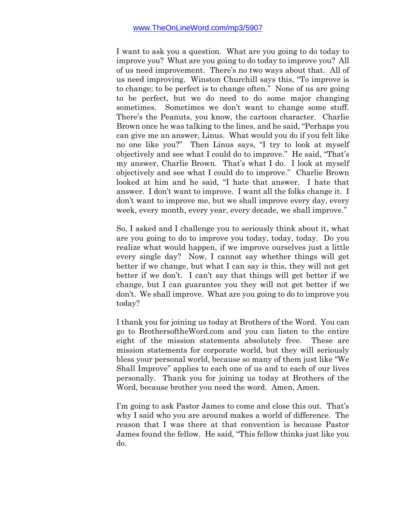I want to ask you a question. What are you going to do today to improve you? What are you going to do today to improve you? All of us need improvement. There's no two ways about that. All of us need improving. Winston Churchill says this, "To improve is to change; to be perfect is to change often." None of us are going to be perfect, but we do need to do some major changing sometimes. Sometimes we don't want to change some stuff. There's the Peanuts, you know, the cartoon character. Charlie Brown once he was talking to the lines, and he said, "Perhaps you can give me an answer, Linus. What would you do if you felt like no one like you?" Then Linus says, "I try to look at myself objectively and see what I could do to improve." He said, "That's my answer, Charlie Brown. That's what I do. I look at myself objectively and see what I could do to improve." Charlie Brown looked at him and he said, "I hate that answer. I hate that answer. I don't want to improve. I want all the folks change it. I don't want to improve me, but we shall improve every day, every week, every month, every year, every decade, we shall improve."

So, I asked and I challenge you to seriously think about it, what are you going to do to improve you today, today, today. Do you realize what would happen, if we improve ourselves just a little every single day? Now, I cannot say whether things will get better if we change, but what I can say is this, they will not get better if we don't. I can't say that things will get better if we change, but I can guarantee you they will not get better if we don't. We shall improve. What are you going to do to improve you today?

I thank you for joining us today at Brothers of the Word. You can go to BrothersoftheWord.com and you can listen to the entire eight of the mission statements absolutely free. These are mission statements for corporate world, but they will seriously bless your personal world, because so many of them just like "We Shall Improve" applies to each one of us and to each of our lives personally. Thank you for joining us today at Brothers of the Word, because brother you need the word. Amen, Amen.

I'm going to ask Pastor James to come and close this out. That's why I said who you are around makes a world of difference. The reason that I was there at that convention is because Pastor James found the fellow. He said, "This fellow thinks just like you do.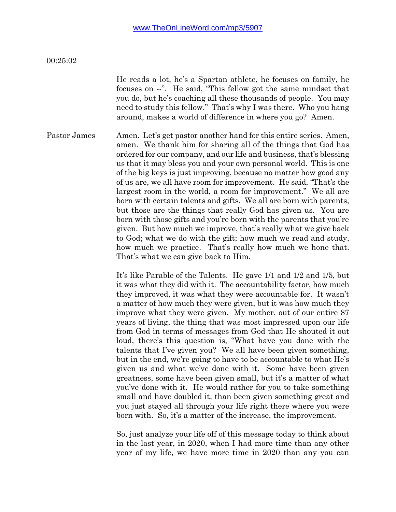#### 00:25:02

He reads a lot, he's a Spartan athlete, he focuses on family, he focuses on --". He said, "This fellow got the same mindset that you do, but he's coaching all these thousands of people. You may need to study this fellow." That's why I was there. Who you hang around, makes a world of difference in where you go? Amen.

Pastor James Amen. Let's get pastor another hand for this entire series. Amen, amen. We thank him for sharing all of the things that God has ordered for our company, and our life and business, that's blessing us that it may bless you and your own personal world. This is one of the big keys is just improving, because no matter how good any of us are, we all have room for improvement. He said, "That's the largest room in the world, a room for improvement." We all are born with certain talents and gifts. We all are born with parents, but those are the things that really God has given us. You are born with those gifts and you're born with the parents that you're given. But how much we improve, that's really what we give back to God; what we do with the gift; how much we read and study, how much we practice. That's really how much we hone that. That's what we can give back to Him.

> It's like Parable of the Talents. He gave 1/1 and 1/2 and 1/5, but it was what they did with it. The accountability factor, how much they improved, it was what they were accountable for. It wasn't a matter of how much they were given, but it was how much they improve what they were given. My mother, out of our entire 87 years of living, the thing that was most impressed upon our life from God in terms of messages from God that He shouted it out loud, there's this question is, "What have you done with the talents that I've given you? We all have been given something, but in the end, we're going to have to be accountable to what He's given us and what we've done with it. Some have been given greatness, some have been given small, but it's a matter of what you've done with it. He would rather for you to take something small and have doubled it, than been given something great and you just stayed all through your life right there where you were born with. So, it's a matter of the increase, the improvement.

> So, just analyze your life off of this message today to think about in the last year, in 2020, when I had more time than any other year of my life, we have more time in 2020 than any you can